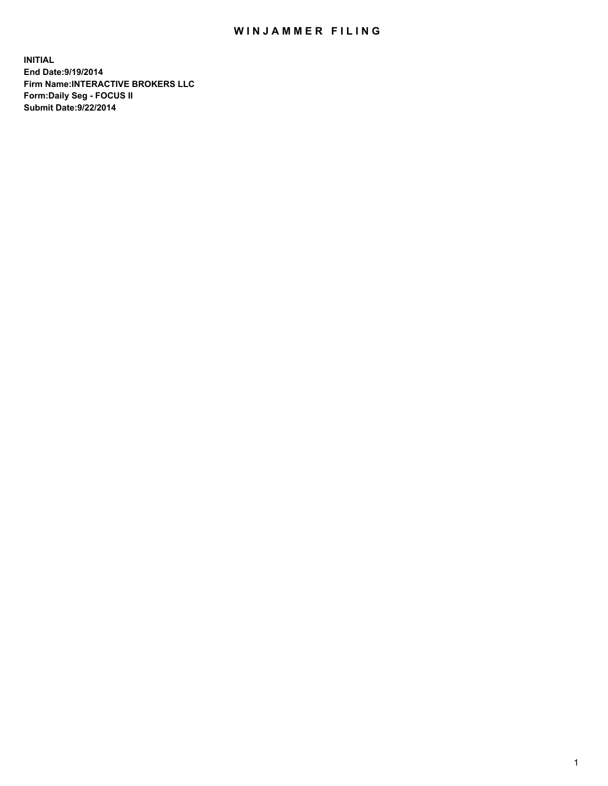## WIN JAMMER FILING

**INITIAL End Date:9/19/2014 Firm Name:INTERACTIVE BROKERS LLC Form:Daily Seg - FOCUS II Submit Date:9/22/2014**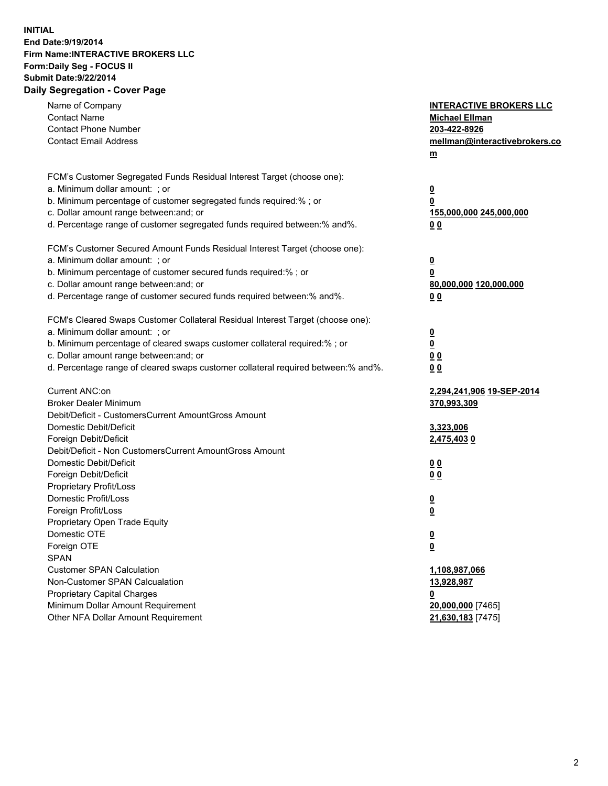## **INITIAL End Date:9/19/2014 Firm Name:INTERACTIVE BROKERS LLC Form:Daily Seg - FOCUS II Submit Date:9/22/2014 Daily Segregation - Cover Page**

| Name of Company<br><b>Contact Name</b><br><b>Contact Phone Number</b><br><b>Contact Email Address</b>                                                                                                                                                                                                                          | <b>INTERACTIVE BROKERS LLC</b><br><b>Michael Ellman</b><br>203-422-8926<br>mellman@interactivebrokers.co<br>$m$ |
|--------------------------------------------------------------------------------------------------------------------------------------------------------------------------------------------------------------------------------------------------------------------------------------------------------------------------------|-----------------------------------------------------------------------------------------------------------------|
| FCM's Customer Segregated Funds Residual Interest Target (choose one):<br>a. Minimum dollar amount: ; or<br>b. Minimum percentage of customer segregated funds required:% ; or<br>c. Dollar amount range between: and; or<br>d. Percentage range of customer segregated funds required between:% and%.                         | <u>0</u><br><u>0</u><br>155,000,000 245,000,000<br>0 <sub>0</sub>                                               |
| FCM's Customer Secured Amount Funds Residual Interest Target (choose one):<br>a. Minimum dollar amount: ; or<br>b. Minimum percentage of customer secured funds required:% ; or<br>c. Dollar amount range between: and; or<br>d. Percentage range of customer secured funds required between:% and%.                           | <u>0</u><br>0<br>80,000,000 120,000,000<br>0 <sub>0</sub>                                                       |
| FCM's Cleared Swaps Customer Collateral Residual Interest Target (choose one):<br>a. Minimum dollar amount: ; or<br>b. Minimum percentage of cleared swaps customer collateral required:% ; or<br>c. Dollar amount range between: and; or<br>d. Percentage range of cleared swaps customer collateral required between:% and%. | $\overline{\mathbf{0}}$<br>$\underline{\mathbf{0}}$<br>0 <sub>0</sub><br>0 <sub>0</sub>                         |
| Current ANC:on<br><b>Broker Dealer Minimum</b><br>Debit/Deficit - CustomersCurrent AmountGross Amount<br>Domestic Debit/Deficit<br>Foreign Debit/Deficit                                                                                                                                                                       | 2,294,241,906 19-SEP-2014<br>370,993,309<br>3,323,006<br>2,475,4030                                             |
| Debit/Deficit - Non CustomersCurrent AmountGross Amount<br>Domestic Debit/Deficit<br>Foreign Debit/Deficit<br>Proprietary Profit/Loss<br>Domestic Profit/Loss<br>Foreign Profit/Loss                                                                                                                                           | 0 <sub>0</sub><br>00<br><u>0</u><br><u>0</u>                                                                    |
| Proprietary Open Trade Equity<br>Domestic OTE<br>Foreign OTE<br><b>SPAN</b><br><b>Customer SPAN Calculation</b>                                                                                                                                                                                                                | <u>0</u><br><u>0</u><br>1,108,987,066                                                                           |
| Non-Customer SPAN Calcualation<br><b>Proprietary Capital Charges</b><br>Minimum Dollar Amount Requirement<br>Other NFA Dollar Amount Requirement                                                                                                                                                                               | 13,928,987<br><u>0</u><br>20,000,000 [7465]<br>21,630,183 [7475]                                                |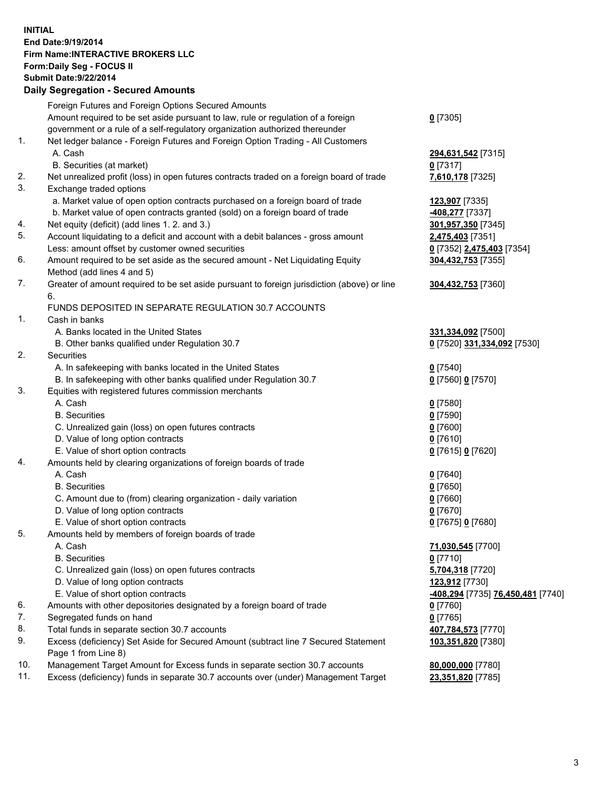## **INITIAL End Date:9/19/2014 Firm Name:INTERACTIVE BROKERS LLC Form:Daily Seg - FOCUS II Submit Date:9/22/2014 Daily Segregation - Secured Amounts**

|                | Dany Oogregation - Oecarea Amounts                                                          |                                   |
|----------------|---------------------------------------------------------------------------------------------|-----------------------------------|
|                | Foreign Futures and Foreign Options Secured Amounts                                         |                                   |
|                | Amount required to be set aside pursuant to law, rule or regulation of a foreign            | $0$ [7305]                        |
|                | government or a rule of a self-regulatory organization authorized thereunder                |                                   |
| 1.             | Net ledger balance - Foreign Futures and Foreign Option Trading - All Customers             |                                   |
|                | A. Cash                                                                                     | 294,631,542 [7315]                |
|                | B. Securities (at market)                                                                   | $0$ [7317]                        |
| 2.             | Net unrealized profit (loss) in open futures contracts traded on a foreign board of trade   | 7,610,178 [7325]                  |
| 3.             | Exchange traded options                                                                     |                                   |
|                | a. Market value of open option contracts purchased on a foreign board of trade              | 123,907 [7335]                    |
|                | b. Market value of open contracts granted (sold) on a foreign board of trade                | -408,277 [7337]                   |
| 4.             | Net equity (deficit) (add lines 1.2. and 3.)                                                | 301,957,350 [7345]                |
| 5.             | Account liquidating to a deficit and account with a debit balances - gross amount           | 2,475,403 [7351]                  |
|                | Less: amount offset by customer owned securities                                            | 0 [7352] 2,475,403 [7354]         |
| 6.             | Amount required to be set aside as the secured amount - Net Liquidating Equity              | 304,432,753 [7355]                |
|                | Method (add lines 4 and 5)                                                                  |                                   |
| 7.             | Greater of amount required to be set aside pursuant to foreign jurisdiction (above) or line | 304,432,753 [7360]                |
|                | 6.                                                                                          |                                   |
|                | FUNDS DEPOSITED IN SEPARATE REGULATION 30.7 ACCOUNTS                                        |                                   |
| $\mathbf{1}$ . | Cash in banks                                                                               |                                   |
|                | A. Banks located in the United States                                                       | 331,334,092 [7500]                |
|                | B. Other banks qualified under Regulation 30.7                                              | 0 [7520] 331,334,092 [7530]       |
| 2.             | Securities                                                                                  |                                   |
|                | A. In safekeeping with banks located in the United States                                   | $0$ [7540]                        |
|                | B. In safekeeping with other banks qualified under Regulation 30.7                          | 0 [7560] 0 [7570]                 |
| 3.             | Equities with registered futures commission merchants                                       |                                   |
|                | A. Cash                                                                                     | $0$ [7580]                        |
|                | <b>B.</b> Securities                                                                        | $0$ [7590]                        |
|                | C. Unrealized gain (loss) on open futures contracts                                         | $0$ [7600]                        |
|                | D. Value of long option contracts                                                           | $0$ [7610]                        |
|                | E. Value of short option contracts                                                          | 0 [7615] 0 [7620]                 |
| 4.             | Amounts held by clearing organizations of foreign boards of trade                           |                                   |
|                | A. Cash                                                                                     | $0$ [7640]                        |
|                | <b>B.</b> Securities                                                                        | $0$ [7650]                        |
|                | C. Amount due to (from) clearing organization - daily variation                             | $0$ [7660]                        |
|                | D. Value of long option contracts                                                           | $0$ [7670]                        |
|                | E. Value of short option contracts                                                          | 0 [7675] 0 [7680]                 |
| 5.             | Amounts held by members of foreign boards of trade                                          |                                   |
|                | A. Cash                                                                                     | 71,030,545 [7700]                 |
|                | <b>B.</b> Securities                                                                        | $0$ [7710]                        |
|                | C. Unrealized gain (loss) on open futures contracts                                         | 5,704,318 [7720]                  |
|                | D. Value of long option contracts                                                           | 123,912 [7730]                    |
|                | E. Value of short option contracts                                                          | -408,294 [7735] 76,450,481 [7740] |
| 6.             | Amounts with other depositories designated by a foreign board of trade                      | 0 [7760]                          |
| 7.             | Segregated funds on hand                                                                    | $0$ [7765]                        |
| 8.             | Total funds in separate section 30.7 accounts                                               | 407,784,573 [7770]                |
| 9.             | Excess (deficiency) Set Aside for Secured Amount (subtract line 7 Secured Statement         | 103,351,820 [7380]                |
|                | Page 1 from Line 8)                                                                         |                                   |
| 10.            | Management Target Amount for Excess funds in separate section 30.7 accounts                 | 80,000,000 [7780]                 |
| 11.            | Excess (deficiency) funds in separate 30.7 accounts over (under) Management Target          | 23,351,820 [7785]                 |
|                |                                                                                             |                                   |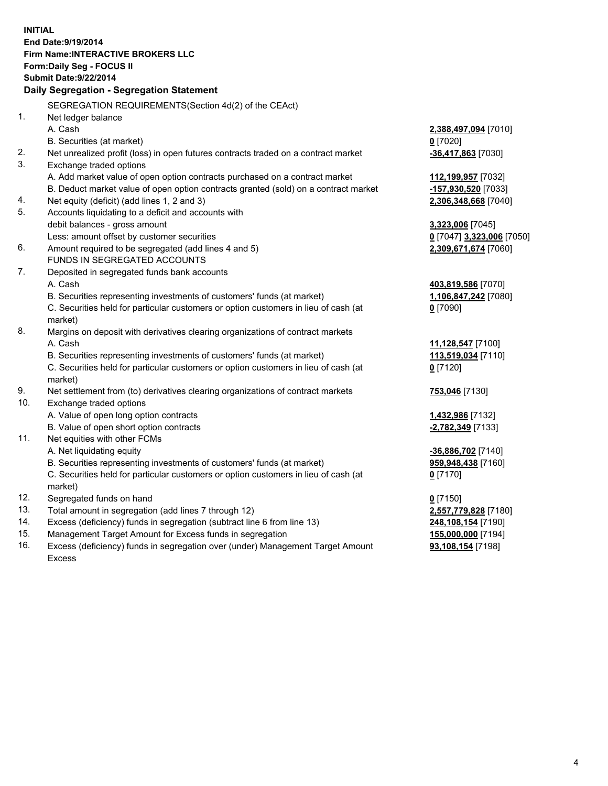**INITIAL End Date:9/19/2014 Firm Name:INTERACTIVE BROKERS LLC Form:Daily Seg - FOCUS II Submit Date:9/22/2014 Daily Segregation - Segregation Statement** SEGREGATION REQUIREMENTS(Section 4d(2) of the CEAct) 1. Net ledger balance A. Cash **2,388,497,094** [7010] B. Securities (at market) **0** [7020] 2. Net unrealized profit (loss) in open futures contracts traded on a contract market **-36,417,863** [7030] 3. Exchange traded options A. Add market value of open option contracts purchased on a contract market **112,199,957** [7032] B. Deduct market value of open option contracts granted (sold) on a contract market **-157,930,520** [7033] 4. Net equity (deficit) (add lines 1, 2 and 3) **2,306,348,668** [7040] 5. Accounts liquidating to a deficit and accounts with debit balances - gross amount **3,323,006** [7045] Less: amount offset by customer securities **0** [7047] **3,323,006** [7050] 6. Amount required to be segregated (add lines 4 and 5) **2,309,671,674** [7060] FUNDS IN SEGREGATED ACCOUNTS 7. Deposited in segregated funds bank accounts A. Cash **403,819,586** [7070] B. Securities representing investments of customers' funds (at market) **1,106,847,242** [7080] C. Securities held for particular customers or option customers in lieu of cash (at market) **0** [7090] 8. Margins on deposit with derivatives clearing organizations of contract markets A. Cash **11,128,547** [7100] B. Securities representing investments of customers' funds (at market) **113,519,034** [7110] C. Securities held for particular customers or option customers in lieu of cash (at market) **0** [7120] 9. Net settlement from (to) derivatives clearing organizations of contract markets **753,046** [7130] 10. Exchange traded options A. Value of open long option contracts **1,432,986** [7132] B. Value of open short option contracts **-2,782,349** [7133] 11. Net equities with other FCMs A. Net liquidating equity **-36,886,702** [7140] B. Securities representing investments of customers' funds (at market) **959,948,438** [7160] C. Securities held for particular customers or option customers in lieu of cash (at market) **0** [7170] 12. Segregated funds on hand **0** [7150] 13. Total amount in segregation (add lines 7 through 12) **2,557,779,828** [7180] 14. Excess (deficiency) funds in segregation (subtract line 6 from line 13) **248,108,154** [7190] 15. Management Target Amount for Excess funds in segregation **155,000,000** [7194]

16. Excess (deficiency) funds in segregation over (under) Management Target Amount Excess

**93,108,154** [7198]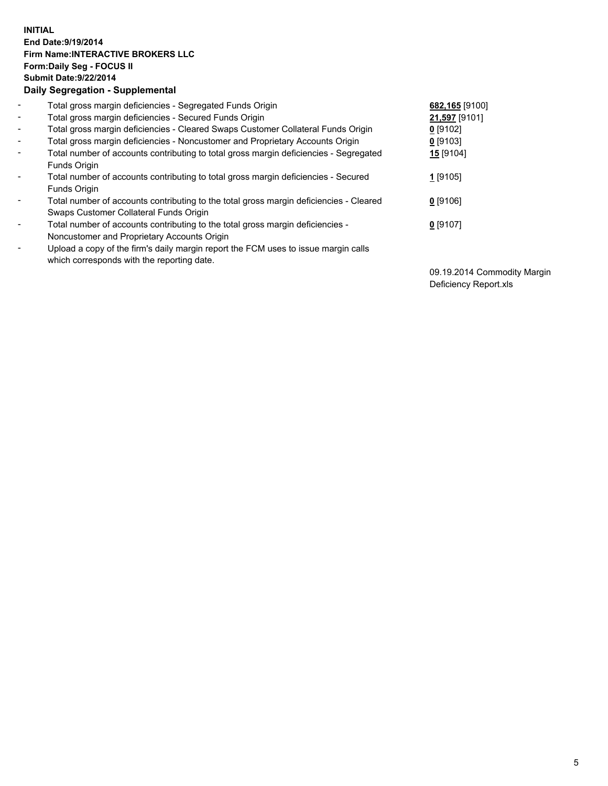## **INITIAL End Date:9/19/2014 Firm Name:INTERACTIVE BROKERS LLC Form:Daily Seg - FOCUS II Submit Date:9/22/2014 Daily Segregation - Supplemental**

| $\blacksquare$               | Total gross margin deficiencies - Segregated Funds Origin                              | 682,165 [9100] |
|------------------------------|----------------------------------------------------------------------------------------|----------------|
| $\blacksquare$               | Total gross margin deficiencies - Secured Funds Origin                                 | 21,597 [9101]  |
| $\blacksquare$               | Total gross margin deficiencies - Cleared Swaps Customer Collateral Funds Origin       | $0$ [9102]     |
| $\blacksquare$               | Total gross margin deficiencies - Noncustomer and Proprietary Accounts Origin          | $0$ [9103]     |
| $\blacksquare$               | Total number of accounts contributing to total gross margin deficiencies - Segregated  | 15 [9104]      |
|                              | Funds Origin                                                                           |                |
| $\blacksquare$               | Total number of accounts contributing to total gross margin deficiencies - Secured     | 1 [9105]       |
|                              | <b>Funds Origin</b>                                                                    |                |
| $\blacksquare$               | Total number of accounts contributing to the total gross margin deficiencies - Cleared | $0$ [9106]     |
|                              | Swaps Customer Collateral Funds Origin                                                 |                |
| $\qquad \qquad \blacksquare$ | Total number of accounts contributing to the total gross margin deficiencies -         | $0$ [9107]     |
|                              | Noncustomer and Proprietary Accounts Origin                                            |                |
| $\qquad \qquad \blacksquare$ | Upload a copy of the firm's daily margin report the FCM uses to issue margin calls     |                |
|                              | which corresponds with the reporting date.                                             |                |

09.19.2014 Commodity Margin Deficiency Report.xls